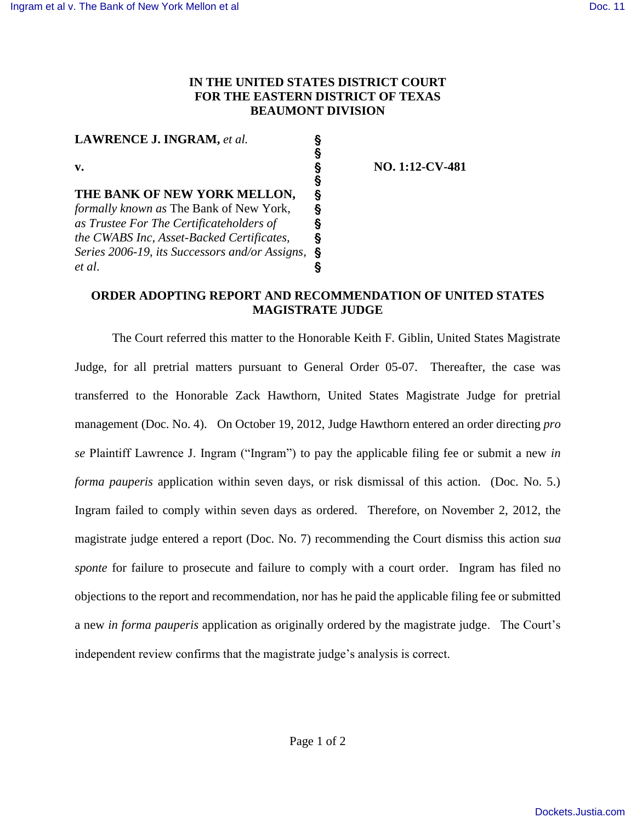## **IN THE UNITED STATES DISTRICT COURT FOR THE EASTERN DISTRICT OF TEXAS BEAUMONT DIVISION**

 $\overline{\S}$ 

S<br>S

**LAWRENCE J. INGRAM,** *et al.* §

**THE BANK OF NEW YORK MELLON,** §<br>formally known as The Bank of New York, § *formally known as* The Bank of New York, ' *as Trustee For The Certificateholders of* ' *the CWABS Inc, Asset-Backed Certificates,* ' *Series 2006-19, its Successors and/or Assigns,* ' *et al*. '

**v. b 1:12-CV-481** 

## **ORDER ADOPTING REPORT AND RECOMMENDATION OF UNITED STATES MAGISTRATE JUDGE**

The Court referred this matter to the Honorable Keith F. Giblin, United States Magistrate Judge, for all pretrial matters pursuant to General Order 05-07. Thereafter, the case was transferred to the Honorable Zack Hawthorn, United States Magistrate Judge for pretrial management (Doc. No. 4). On October 19, 2012, Judge Hawthorn entered an order directing *pro se* Plaintiff Lawrence J. Ingram ("Ingram") to pay the applicable filing fee or submit a new *in forma pauperis* application within seven days, or risk dismissal of this action. (Doc. No. 5.) Ingram failed to comply within seven days as ordered. Therefore, on November 2, 2012, the magistrate judge entered a report (Doc. No. 7) recommending the Court dismiss this action *sua sponte* for failure to prosecute and failure to comply with a court order. Ingram has filed no objections to the report and recommendation, nor has he paid the applicable filing fee or submitted a new *in forma pauperis* application as originally ordered by the magistrate judge. The Court's independent review confirms that the magistrate judge's analysis is correct.